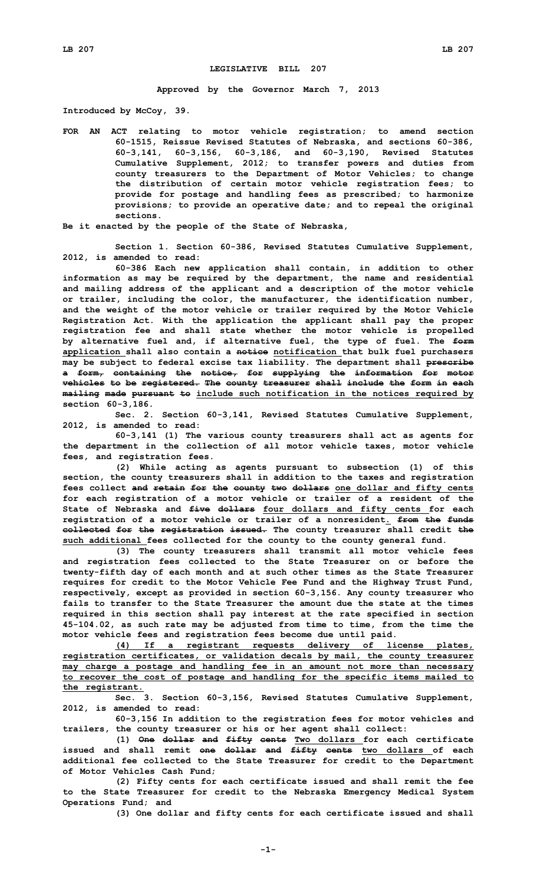## **LEGISLATIVE BILL 207**

**Approved by the Governor March 7, 2013**

**Introduced by McCoy, 39.**

**FOR AN ACT relating to motor vehicle registration; to amend section 60-1515, Reissue Revised Statutes of Nebraska, and sections 60-386, 60-3,141, 60-3,156, 60-3,186, and 60-3,190, Revised Statutes Cumulative Supplement, 2012; to transfer powers and duties from county treasurers to the Department of Motor Vehicles; to change the distribution of certain motor vehicle registration fees; to provide for postage and handling fees as prescribed; to harmonize provisions; to provide an operative date; and to repeal the original sections.**

**Be it enacted by the people of the State of Nebraska,**

**Section 1. Section 60-386, Revised Statutes Cumulative Supplement, 2012, is amended to read:**

**60-386 Each new application shall contain, in addition to other information as may be required by the department, the name and residential and mailing address of the applicant and <sup>a</sup> description of the motor vehicle or trailer, including the color, the manufacturer, the identification number, and the weight of the motor vehicle or trailer required by the Motor Vehicle Registration Act. With the application the applicant shall pay the proper registration fee and shall state whether the motor vehicle is propelled by alternative fuel and, if alternative fuel, the type of fuel. The form application shall also contain <sup>a</sup> notice notification that bulk fuel purchasers may be subject to federal excise tax liability. The department shall prescribe <sup>a</sup> form, containing the notice, for supplying the information for motor vehicles to be registered. The county treasurer shall include the form in each mailing made pursuant to include such notification in the notices required by section 60-3,186.**

**Sec. 2. Section 60-3,141, Revised Statutes Cumulative Supplement, 2012, is amended to read:**

**60-3,141 (1) The various county treasurers shall act as agents for the department in the collection of all motor vehicle taxes, motor vehicle fees, and registration fees.**

**(2) While acting as agents pursuant to subsection (1) of this section, the county treasurers shall in addition to the taxes and registration fees collect and retain for the county two dollars one dollar and fifty cents for each registration of <sup>a</sup> motor vehicle or trailer of <sup>a</sup> resident of the State of Nebraska and five dollars four dollars and fifty cents for each registration of <sup>a</sup> motor vehicle or trailer of <sup>a</sup> nonresident. from the funds collected for the registration issued. The county treasurer shall credit the such additional fees collected for the county to the county general fund.**

**(3) The county treasurers shall transmit all motor vehicle fees and registration fees collected to the State Treasurer on or before the twenty-fifth day of each month and at such other times as the State Treasurer requires for credit to the Motor Vehicle Fee Fund and the Highway Trust Fund, respectively, except as provided in section 60-3,156. Any county treasurer who fails to transfer to the State Treasurer the amount due the state at the times required in this section shall pay interest at the rate specified in section 45-104.02, as such rate may be adjusted from time to time, from the time the motor vehicle fees and registration fees become due until paid.**

**(4) If <sup>a</sup> registrant requests delivery of license plates, registration certificates, or validation decals by mail, the county treasurer may charge <sup>a</sup> postage and handling fee in an amount not more than necessary to recover the cost of postage and handling for the specific items mailed to the registrant.**

**Sec. 3. Section 60-3,156, Revised Statutes Cumulative Supplement, 2012, is amended to read:**

**60-3,156 In addition to the registration fees for motor vehicles and trailers, the county treasurer or his or her agent shall collect:**

**(1) One dollar and fifty cents Two dollars for each certificate issued and shall remit one dollar and fifty cents two dollars of each additional fee collected to the State Treasurer for credit to the Department of Motor Vehicles Cash Fund;**

**(2) Fifty cents for each certificate issued and shall remit the fee to the State Treasurer for credit to the Nebraska Emergency Medical System Operations Fund; and**

**(3) One dollar and fifty cents for each certificate issued and shall**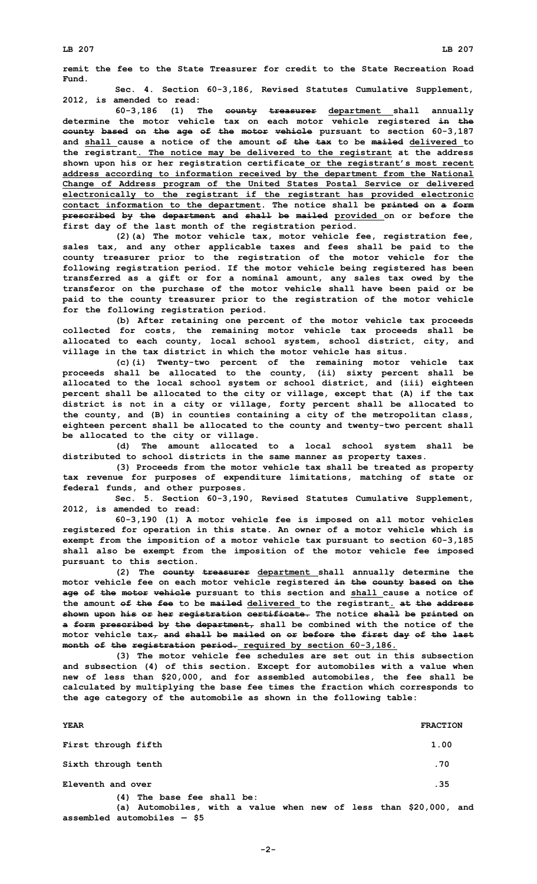**Fund. Sec. 4. Section 60-3,186, Revised Statutes Cumulative Supplement, 2012, is amended to read:**

**60-3,186 (1) The county treasurer department shall annually determine the motor vehicle tax on each motor vehicle registered in the county based on the age of the motor vehicle pursuant to section 60-3,187 and shall cause a notice of the amount of the tax to be mailed delivered to the registrant. The notice may be delivered to the registrant at the address shown upon his or her registration certificate or the registrant's most recent address according to information received by the department from the National Change of Address program of the United States Postal Service or delivered electronically to the registrant if the registrant has provided electronic contact information to the department. The notice shall be printed on <sup>a</sup> form prescribed by the department and shall be mailed provided on or before the first day of the last month of the registration period.**

**(2)(a) The motor vehicle tax, motor vehicle fee, registration fee, sales tax, and any other applicable taxes and fees shall be paid to the county treasurer prior to the registration of the motor vehicle for the following registration period. If the motor vehicle being registered has been transferred as <sup>a</sup> gift or for <sup>a</sup> nominal amount, any sales tax owed by the transferor on the purchase of the motor vehicle shall have been paid or be paid to the county treasurer prior to the registration of the motor vehicle for the following registration period.**

**(b) After retaining one percent of the motor vehicle tax proceeds collected for costs, the remaining motor vehicle tax proceeds shall be allocated to each county, local school system, school district, city, and village in the tax district in which the motor vehicle has situs.**

**(c)(i) Twenty-two percent of the remaining motor vehicle tax proceeds shall be allocated to the county, (ii) sixty percent shall be allocated to the local school system or school district, and (iii) eighteen percent shall be allocated to the city or village, except that (A) if the tax district is not in <sup>a</sup> city or village, forty percent shall be allocated to the county, and (B) in counties containing <sup>a</sup> city of the metropolitan class, eighteen percent shall be allocated to the county and twenty-two percent shall be allocated to the city or village.**

**(d) The amount allocated to <sup>a</sup> local school system shall be distributed to school districts in the same manner as property taxes.**

**(3) Proceeds from the motor vehicle tax shall be treated as property tax revenue for purposes of expenditure limitations, matching of state or federal funds, and other purposes.**

**Sec. 5. Section 60-3,190, Revised Statutes Cumulative Supplement, 2012, is amended to read:**

**60-3,190 (1) <sup>A</sup> motor vehicle fee is imposed on all motor vehicles registered for operation in this state. An owner of <sup>a</sup> motor vehicle which is exempt from the imposition of <sup>a</sup> motor vehicle tax pursuant to section 60-3,185 shall also be exempt from the imposition of the motor vehicle fee imposed pursuant to this section.**

**(2) The county treasurer department shall annually determine the motor vehicle fee on each motor vehicle registered in the county based on the age of the motor vehicle pursuant to this section and shall cause <sup>a</sup> notice of the amount of the fee to be mailed delivered to the registrant. at the address shown upon his or her registration certificate. The notice shall be printed on <sup>a</sup> form prescribed by the department, shall be combined with the notice of the motor vehicle tax, and shall be mailed on or before the first day of the last month of the registration period. required by section 60-3,186.**

**(3) The motor vehicle fee schedules are set out in this subsection and subsection (4) of this section. Except for automobiles with <sup>a</sup> value when new of less than \$20,000, and for assembled automobiles, the fee shall be calculated by multiplying the base fee times the fraction which corresponds to the age category of the automobile as shown in the following table:**

| <b>YEAR</b>                                                                                                                      | <b>FRACTION</b> |
|----------------------------------------------------------------------------------------------------------------------------------|-----------------|
| First through fifth                                                                                                              | 1.00            |
| Sixth through tenth                                                                                                              | .70             |
| Eleventh and over                                                                                                                | .35             |
| (4) The base fee shall be:<br>(a) Automobiles, with a value when new of less than \$20,000, and<br>assembled automobiles $-$ \$5 |                 |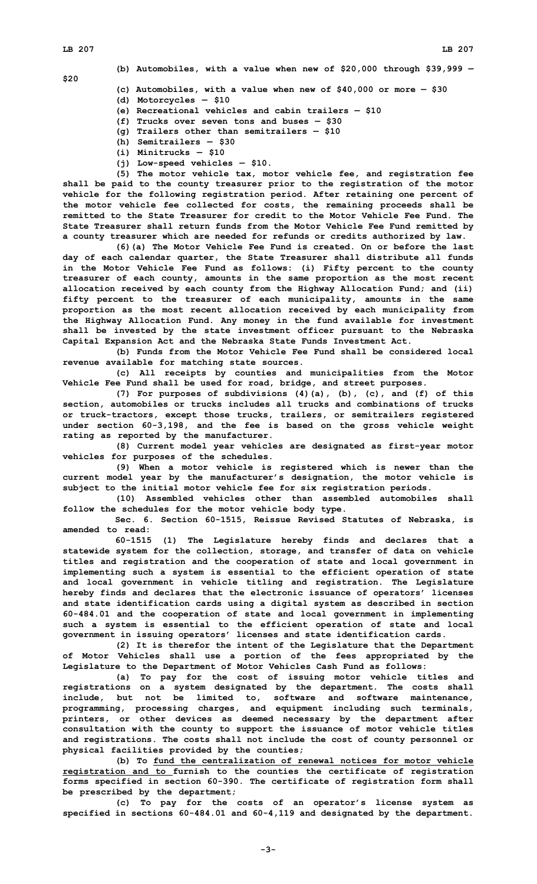**\$20**

**(b) Automobiles, with <sup>a</sup> value when new of \$20,000 through \$39,999 —**

- **(c) Automobiles, with <sup>a</sup> value when new of \$40,000 or more — \$30**
- **(d) Motorcycles — \$10**
- **(e) Recreational vehicles and cabin trailers — \$10**
- **(f) Trucks over seven tons and buses — \$30**
- **(g) Trailers other than semitrailers — \$10**
- **(h) Semitrailers — \$30**
- **(i) Minitrucks — \$10**
- **(j) Low-speed vehicles — \$10.**

**(5) The motor vehicle tax, motor vehicle fee, and registration fee shall be paid to the county treasurer prior to the registration of the motor vehicle for the following registration period. After retaining one percent of the motor vehicle fee collected for costs, the remaining proceeds shall be remitted to the State Treasurer for credit to the Motor Vehicle Fee Fund. The State Treasurer shall return funds from the Motor Vehicle Fee Fund remitted by <sup>a</sup> county treasurer which are needed for refunds or credits authorized by law.**

**(6)(a) The Motor Vehicle Fee Fund is created. On or before the last day of each calendar quarter, the State Treasurer shall distribute all funds in the Motor Vehicle Fee Fund as follows: (i) Fifty percent to the county treasurer of each county, amounts in the same proportion as the most recent allocation received by each county from the Highway Allocation Fund; and (ii) fifty percent to the treasurer of each municipality, amounts in the same proportion as the most recent allocation received by each municipality from the Highway Allocation Fund. Any money in the fund available for investment shall be invested by the state investment officer pursuant to the Nebraska Capital Expansion Act and the Nebraska State Funds Investment Act.**

**(b) Funds from the Motor Vehicle Fee Fund shall be considered local revenue available for matching state sources.**

**(c) All receipts by counties and municipalities from the Motor Vehicle Fee Fund shall be used for road, bridge, and street purposes.**

**(7) For purposes of subdivisions (4)(a), (b), (c), and (f) of this section, automobiles or trucks includes all trucks and combinations of trucks or truck-tractors, except those trucks, trailers, or semitrailers registered under section 60-3,198, and the fee is based on the gross vehicle weight rating as reported by the manufacturer.**

**(8) Current model year vehicles are designated as first-year motor vehicles for purposes of the schedules.**

**(9) When <sup>a</sup> motor vehicle is registered which is newer than the current model year by the manufacturer's designation, the motor vehicle is subject to the initial motor vehicle fee for six registration periods.**

**(10) Assembled vehicles other than assembled automobiles shall follow the schedules for the motor vehicle body type.**

**Sec. 6. Section 60-1515, Reissue Revised Statutes of Nebraska, is amended to read:**

**60-1515 (1) The Legislature hereby finds and declares that <sup>a</sup> statewide system for the collection, storage, and transfer of data on vehicle titles and registration and the cooperation of state and local government in implementing such <sup>a</sup> system is essential to the efficient operation of state and local government in vehicle titling and registration. The Legislature hereby finds and declares that the electronic issuance of operators' licenses and state identification cards using <sup>a</sup> digital system as described in section 60-484.01 and the cooperation of state and local government in implementing such <sup>a</sup> system is essential to the efficient operation of state and local government in issuing operators' licenses and state identification cards.**

**(2) It is therefor the intent of the Legislature that the Department of Motor Vehicles shall use <sup>a</sup> portion of the fees appropriated by the Legislature to the Department of Motor Vehicles Cash Fund as follows:**

**(a) To pay for the cost of issuing motor vehicle titles and registrations on <sup>a</sup> system designated by the department. The costs shall include, but not be limited to, software and software maintenance, programming, processing charges, and equipment including such terminals, printers, or other devices as deemed necessary by the department after consultation with the county to support the issuance of motor vehicle titles and registrations. The costs shall not include the cost of county personnel or physical facilities provided by the counties;**

**(b) To fund the centralization of renewal notices for motor vehicle registration and to furnish to the counties the certificate of registration forms specified in section 60-390. The certificate of registration form shall be prescribed by the department;**

**(c) To pay for the costs of an operator's license system as specified in sections 60-484.01 and 60-4,119 and designated by the department.**